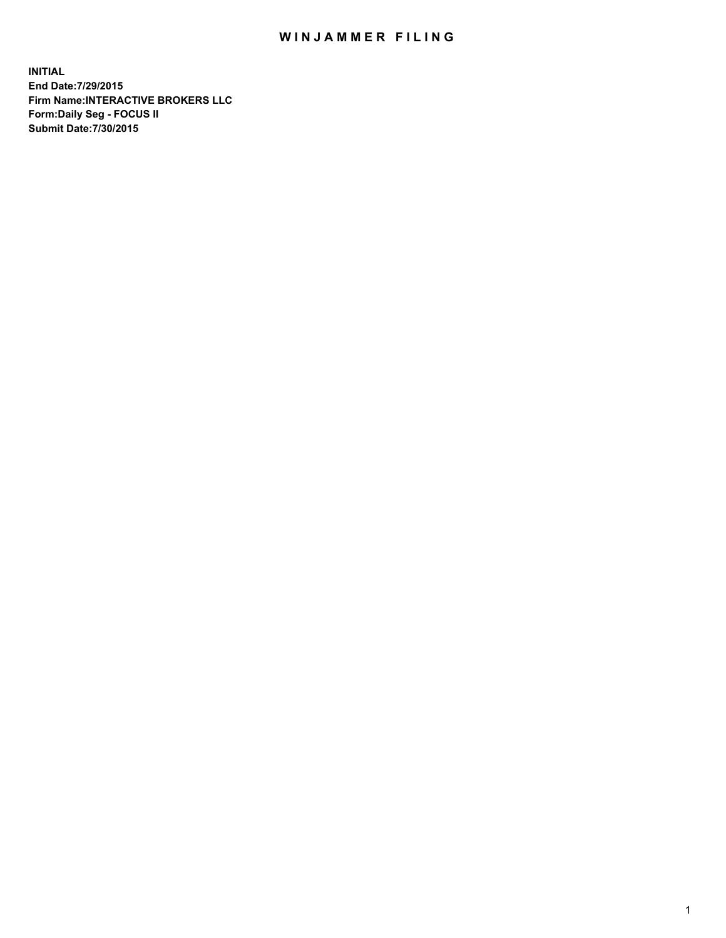## WIN JAMMER FILING

**INITIAL End Date:7/29/2015 Firm Name:INTERACTIVE BROKERS LLC Form:Daily Seg - FOCUS II Submit Date:7/30/2015**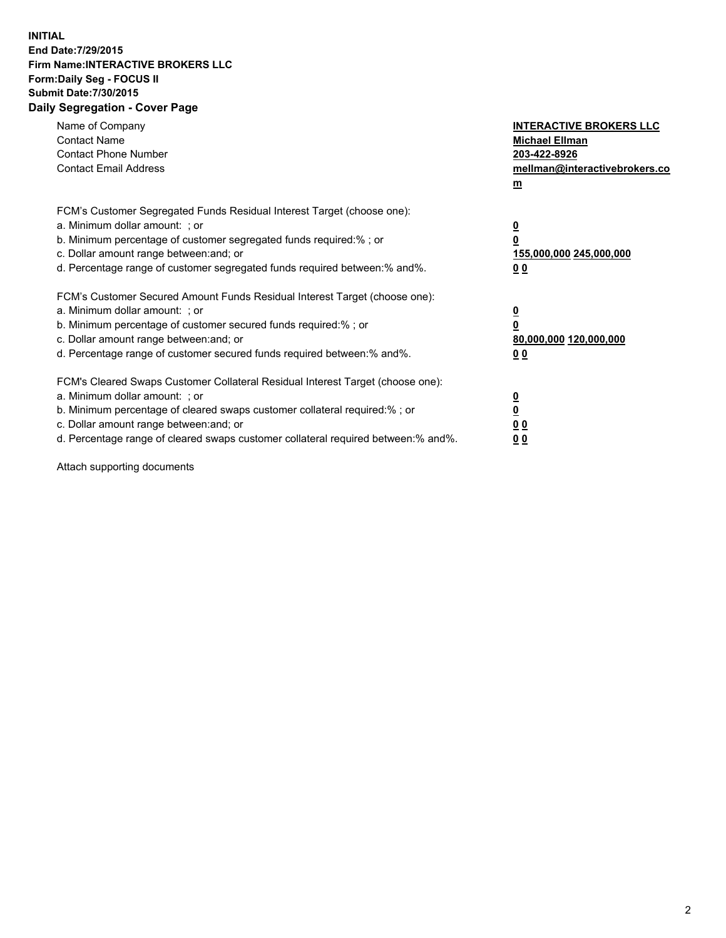## **INITIAL End Date:7/29/2015 Firm Name:INTERACTIVE BROKERS LLC Form:Daily Seg - FOCUS II Submit Date:7/30/2015 Daily Segregation - Cover Page**

| Name of Company<br><b>Contact Name</b><br><b>Contact Phone Number</b><br><b>Contact Email Address</b>                                                                                                                                                                                                                          | <b>INTERACTIVE BROKERS LLC</b><br><b>Michael Ellman</b><br>203-422-8926<br>mellman@interactivebrokers.co<br>$m$ |
|--------------------------------------------------------------------------------------------------------------------------------------------------------------------------------------------------------------------------------------------------------------------------------------------------------------------------------|-----------------------------------------------------------------------------------------------------------------|
| FCM's Customer Segregated Funds Residual Interest Target (choose one):<br>a. Minimum dollar amount: ; or<br>b. Minimum percentage of customer segregated funds required:% ; or<br>c. Dollar amount range between: and; or<br>d. Percentage range of customer segregated funds required between: % and %.                       | $\overline{\mathbf{0}}$<br>0<br>155,000,000 245,000,000<br>00                                                   |
| FCM's Customer Secured Amount Funds Residual Interest Target (choose one):<br>a. Minimum dollar amount: ; or<br>b. Minimum percentage of customer secured funds required:%; or<br>c. Dollar amount range between: and; or<br>d. Percentage range of customer secured funds required between: % and %.                          | $\overline{\mathbf{0}}$<br>0<br>80,000,000 120,000,000<br>0 <sub>0</sub>                                        |
| FCM's Cleared Swaps Customer Collateral Residual Interest Target (choose one):<br>a. Minimum dollar amount: ; or<br>b. Minimum percentage of cleared swaps customer collateral required:% ; or<br>c. Dollar amount range between: and; or<br>d. Percentage range of cleared swaps customer collateral required between:% and%. | $\overline{\mathbf{0}}$<br>$\underline{\mathbf{0}}$<br>0 <sub>0</sub><br>0 <sub>0</sub>                         |

Attach supporting documents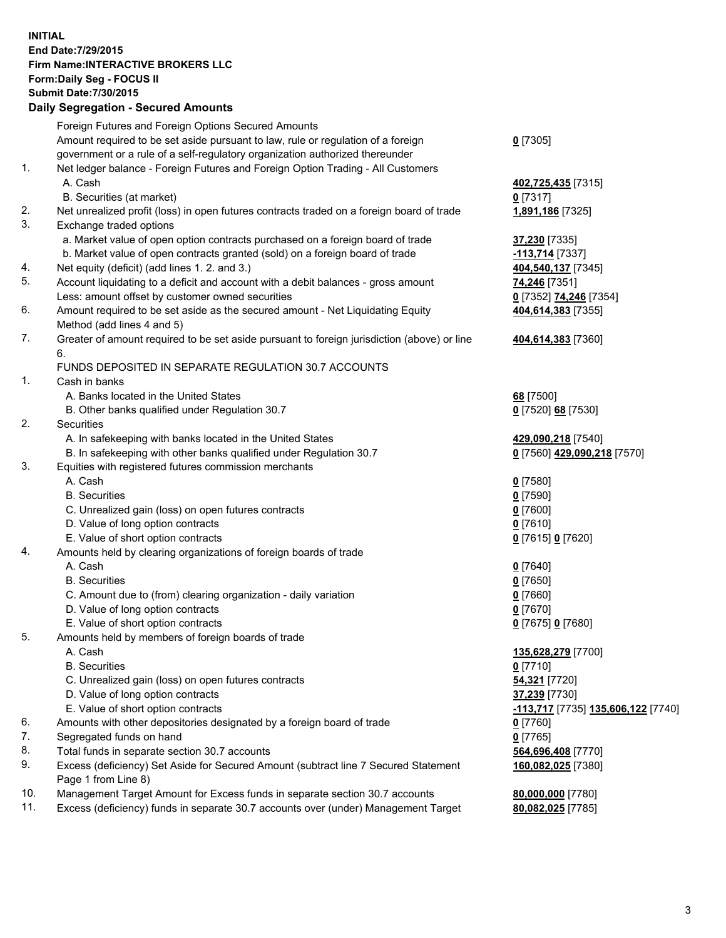## **INITIAL End Date:7/29/2015 Firm Name:INTERACTIVE BROKERS LLC Form:Daily Seg - FOCUS II Submit Date:7/30/2015 Daily Segregation - Secured Amounts**

|     | Foreign Futures and Foreign Options Secured Amounts                                                          |                                    |
|-----|--------------------------------------------------------------------------------------------------------------|------------------------------------|
|     | Amount required to be set aside pursuant to law, rule or regulation of a foreign                             | $0$ [7305]                         |
|     | government or a rule of a self-regulatory organization authorized thereunder                                 |                                    |
| 1.  | Net ledger balance - Foreign Futures and Foreign Option Trading - All Customers                              |                                    |
|     | A. Cash                                                                                                      | 402,725,435 [7315]                 |
|     | B. Securities (at market)                                                                                    | $0$ [7317]                         |
| 2.  | Net unrealized profit (loss) in open futures contracts traded on a foreign board of trade                    | 1,891,186 [7325]                   |
| 3.  | Exchange traded options                                                                                      |                                    |
|     | a. Market value of open option contracts purchased on a foreign board of trade                               | 37,230 [7335]                      |
|     | b. Market value of open contracts granted (sold) on a foreign board of trade                                 | 113,714 [7337]                     |
| 4.  | Net equity (deficit) (add lines 1.2. and 3.)                                                                 | 404,540,137 [7345]                 |
| 5.  | Account liquidating to a deficit and account with a debit balances - gross amount                            | 74,246 [7351]                      |
|     | Less: amount offset by customer owned securities                                                             | 0 [7352] 74,246 [7354]             |
| 6.  | Amount required to be set aside as the secured amount - Net Liquidating Equity<br>Method (add lines 4 and 5) | 404,614,383 [7355]                 |
| 7.  | Greater of amount required to be set aside pursuant to foreign jurisdiction (above) or line                  | 404,614,383 [7360]                 |
|     | 6.                                                                                                           |                                    |
|     | FUNDS DEPOSITED IN SEPARATE REGULATION 30.7 ACCOUNTS                                                         |                                    |
| 1.  | Cash in banks                                                                                                |                                    |
|     | A. Banks located in the United States                                                                        | 68 [7500]                          |
|     | B. Other banks qualified under Regulation 30.7                                                               | 0 [7520] 68 [7530]                 |
| 2.  | Securities                                                                                                   |                                    |
|     | A. In safekeeping with banks located in the United States                                                    | 429,090,218 [7540]                 |
|     | B. In safekeeping with other banks qualified under Regulation 30.7                                           | 0 [7560] 429,090,218 [7570]        |
| 3.  | Equities with registered futures commission merchants                                                        |                                    |
|     | A. Cash                                                                                                      | $0$ [7580]                         |
|     | <b>B.</b> Securities                                                                                         | $0$ [7590]                         |
|     | C. Unrealized gain (loss) on open futures contracts                                                          | $0$ [7600]                         |
|     | D. Value of long option contracts                                                                            | $0$ [7610]                         |
|     | E. Value of short option contracts                                                                           | 0 [7615] 0 [7620]                  |
| 4.  | Amounts held by clearing organizations of foreign boards of trade                                            |                                    |
|     | A. Cash                                                                                                      | $0$ [7640]                         |
|     | <b>B.</b> Securities                                                                                         | $0$ [7650]                         |
|     | C. Amount due to (from) clearing organization - daily variation                                              | $0$ [7660]                         |
|     | D. Value of long option contracts                                                                            | $0$ [7670]                         |
|     | E. Value of short option contracts                                                                           | 0 [7675] 0 [7680]                  |
| 5.  | Amounts held by members of foreign boards of trade                                                           |                                    |
|     | A. Cash<br><b>B.</b> Securities                                                                              | 135,628,279 [7700]                 |
|     |                                                                                                              | $0$ [7710]                         |
|     | C. Unrealized gain (loss) on open futures contracts<br>D. Value of long option contracts                     | 54,321 [7720]<br>37,239 [7730]     |
|     | E. Value of short option contracts                                                                           | -113,717 [7735] 135,606,122 [7740] |
| 6.  | Amounts with other depositories designated by a foreign board of trade                                       | $0$ [7760]                         |
| 7.  | Segregated funds on hand                                                                                     | $0$ [7765]                         |
| 8.  | Total funds in separate section 30.7 accounts                                                                | 564,696,408 [7770]                 |
| 9.  | Excess (deficiency) Set Aside for Secured Amount (subtract line 7 Secured Statement                          | 160,082,025 [7380]                 |
|     | Page 1 from Line 8)                                                                                          |                                    |
| 10. | Management Target Amount for Excess funds in separate section 30.7 accounts                                  | 80,000,000 [7780]                  |
| 11. | Excess (deficiency) funds in separate 30.7 accounts over (under) Management Target                           | 80,082,025 [7785]                  |
|     |                                                                                                              |                                    |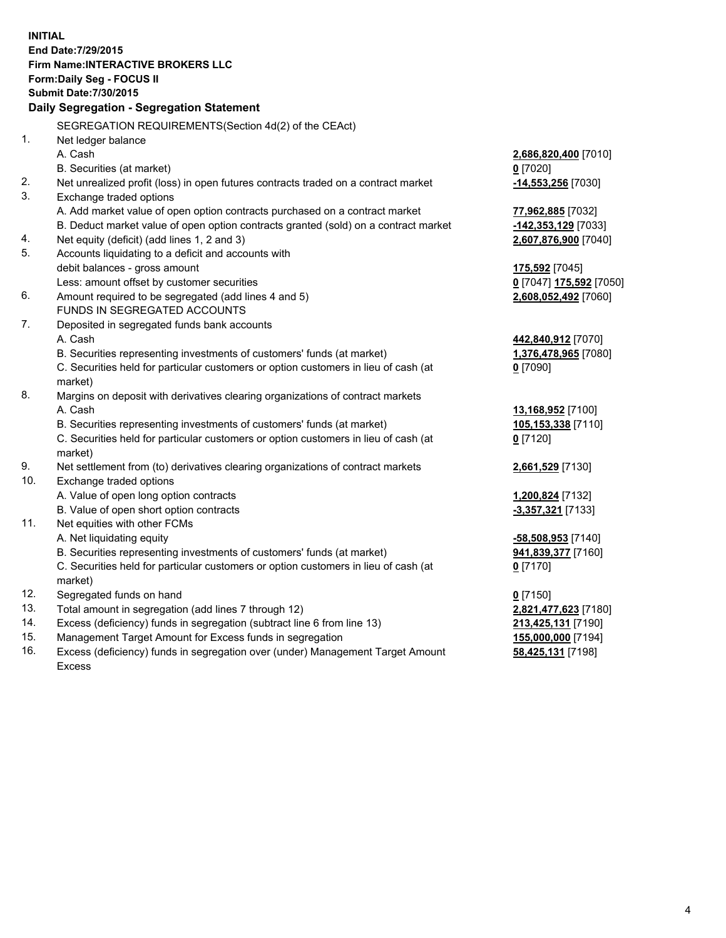**INITIAL End Date:7/29/2015 Firm Name:INTERACTIVE BROKERS LLC Form:Daily Seg - FOCUS II Submit Date:7/30/2015 Daily Segregation - Segregation Statement** SEGREGATION REQUIREMENTS(Section 4d(2) of the CEAct) 1. Net ledger balance A. Cash **2,686,820,400** [7010] B. Securities (at market) **0** [7020] 2. Net unrealized profit (loss) in open futures contracts traded on a contract market **-14,553,256** [7030] 3. Exchange traded options A. Add market value of open option contracts purchased on a contract market **77,962,885** [7032] B. Deduct market value of open option contracts granted (sold) on a contract market **-142,353,129** [7033] 4. Net equity (deficit) (add lines 1, 2 and 3) **2,607,876,900** [7040] 5. Accounts liquidating to a deficit and accounts with debit balances - gross amount **175,592** [7045] Less: amount offset by customer securities **0** [7047] **175,592** [7050] 6. Amount required to be segregated (add lines 4 and 5) **2,608,052,492** [7060] FUNDS IN SEGREGATED ACCOUNTS 7. Deposited in segregated funds bank accounts A. Cash **442,840,912** [7070] B. Securities representing investments of customers' funds (at market) **1,376,478,965** [7080] C. Securities held for particular customers or option customers in lieu of cash (at market) **0** [7090] 8. Margins on deposit with derivatives clearing organizations of contract markets A. Cash **13,168,952** [7100] B. Securities representing investments of customers' funds (at market) **105,153,338** [7110] C. Securities held for particular customers or option customers in lieu of cash (at market) **0** [7120] 9. Net settlement from (to) derivatives clearing organizations of contract markets **2,661,529** [7130] 10. Exchange traded options A. Value of open long option contracts **1,200,824** [7132] B. Value of open short option contracts **and the set of open short option contracts -3,357,321** [7133] 11. Net equities with other FCMs A. Net liquidating equity **-58,508,953** [7140] B. Securities representing investments of customers' funds (at market) **941,839,377** [7160] C. Securities held for particular customers or option customers in lieu of cash (at market) **0** [7170] 12. Segregated funds on hand **0** [7150] 13. Total amount in segregation (add lines 7 through 12) **2,821,477,623** [7180] 14. Excess (deficiency) funds in segregation (subtract line 6 from line 13) **213,425,131** [7190] 15. Management Target Amount for Excess funds in segregation **155,000,000** [7194]

16. Excess (deficiency) funds in segregation over (under) Management Target Amount Excess

**58,425,131** [7198]